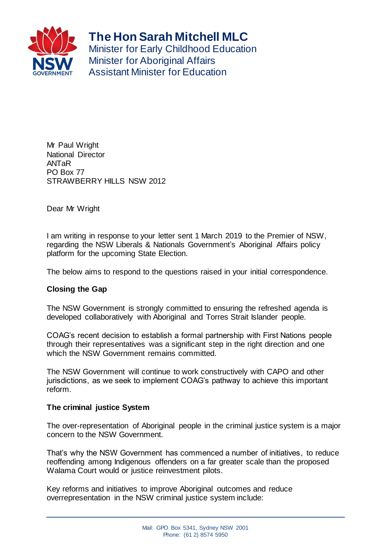

**The Hon Sarah Mitchell MLC**

Minister for Early Childhood Education **Minister for Aboriginal Affairs** Assistant Minister for Education

Mr Paul Wright National Director ANTaR PO Box 77 STRAWBERRY HILLS NSW 2012

Dear Mr Wright

I am writing in response to your letter sent 1 March 2019 to the Premier of NSW, regarding the NSW Liberals & Nationals Government's Aboriginal Affairs policy platform for the upcoming State Election.

The below aims to respond to the questions raised in your initial correspondence.

## **Closing the Gap**

The NSW Government is strongly committed to ensuring the refreshed agenda is developed collaboratively with Aboriginal and Torres Strait Islander people.

COAG's recent decision to establish a formal partnership with First Nations people through their representatives was a significant step in the right direction and one which the NSW Government remains committed.

The NSW Government will continue to work constructively with CAPO and other jurisdictions, as we seek to implement COAG's pathway to achieve this important reform.

## **The criminal justice System**

The over-representation of Aboriginal people in the criminal justice system is a major concern to the NSW Government.

That's why the NSW Government has commenced a number of initiatives, to reduce reoffending among Indigenous offenders on a far greater scale than the proposed Walama Court would or justice reinvestment pilots.

Key reforms and initiatives to improve Aboriginal outcomes and reduce overrepresentation in the NSW criminal justice system include: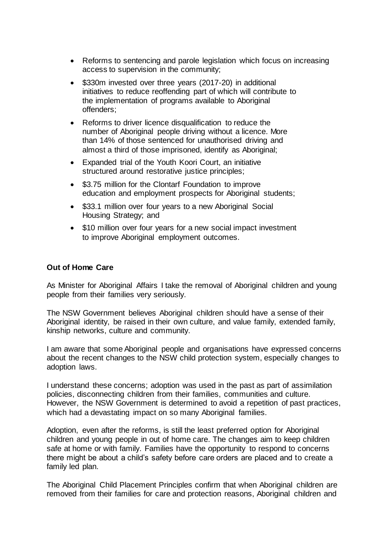- Reforms to sentencing and parole legislation which focus on increasing access to supervision in the community;
- \$330m invested over three years (2017-20) in additional initiatives to reduce reoffending part of which will contribute to the implementation of programs available to Aboriginal offenders;
- Reforms to driver licence disqualification to reduce the number of Aboriginal people driving without a licence. More than 14% of those sentenced for unauthorised driving and almost a third of those imprisoned, identify as Aboriginal;
- Expanded trial of the Youth Koori Court, an initiative structured around restorative justice principles;
- \$3.75 million for the Clontarf Foundation to improve education and employment prospects for Aboriginal students;
- \$33.1 million over four years to a new Aboriginal Social Housing Strategy; and
- \$10 million over four years for a new social impact investment to improve Aboriginal employment outcomes.

## **Out of Home Care**

As Minister for Aboriginal Affairs I take the removal of Aboriginal children and young people from their families very seriously.

The NSW Government believes Aboriginal children should have a sense of their Aboriginal identity, be raised in their own culture, and value family, extended family, kinship networks, culture and community.

I am aware that some Aboriginal people and organisations have expressed concerns about the recent changes to the NSW child protection system, especially changes to adoption laws.

I understand these concerns; adoption was used in the past as part of assimilation policies, disconnecting children from their families, communities and culture. However, the NSW Government is determined to avoid a repetition of past practices, which had a devastating impact on so many Aboriginal families.

Adoption, even after the reforms, is still the least preferred option for Aboriginal children and young people in out of home care. The changes aim to keep children safe at home or with family. Families have the opportunity to respond to concerns there might be about a child's safety before care orders are placed and to create a family led plan.

The Aboriginal Child Placement Principles confirm that when Aboriginal children are removed from their families for care and protection reasons, Aboriginal children and